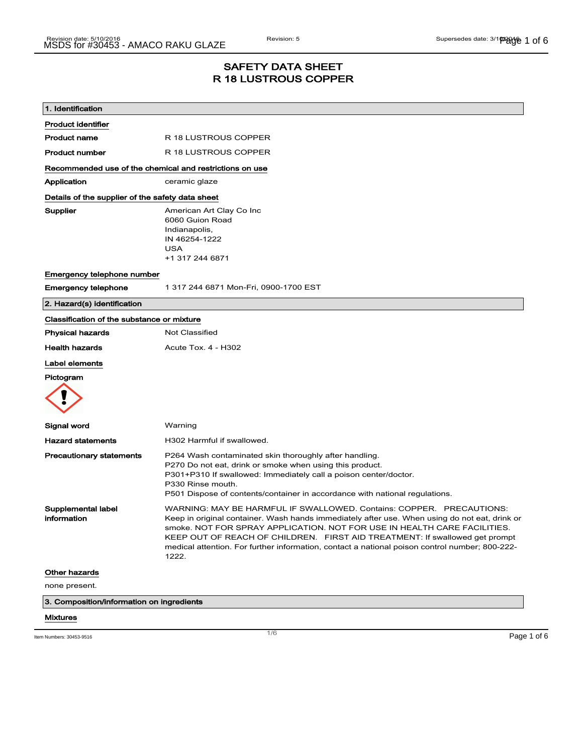### SAFETY DATA SHEET R 18 LUSTROUS COPPER

| 1. Identification                                |                                                                                                                                                         |
|--------------------------------------------------|---------------------------------------------------------------------------------------------------------------------------------------------------------|
| <b>Product identifier</b>                        |                                                                                                                                                         |
| <b>Product name</b>                              | R 18 LUSTROUS COPPER                                                                                                                                    |
| <b>Product number</b>                            | R 18 LUSTROUS COPPER                                                                                                                                    |
|                                                  | Recommended use of the chemical and restrictions on use                                                                                                 |
| Application                                      | ceramic glaze                                                                                                                                           |
| Details of the supplier of the safety data sheet |                                                                                                                                                         |
| Supplier                                         | American Art Clay Co Inc                                                                                                                                |
|                                                  | 6060 Guion Road                                                                                                                                         |
|                                                  | Indianapolis,<br>IN 46254-1222                                                                                                                          |
|                                                  | <b>USA</b>                                                                                                                                              |
|                                                  | +1 317 244 6871                                                                                                                                         |
| Emergency telephone number                       |                                                                                                                                                         |
| <b>Emergency telephone</b>                       | 1 317 244 6871 Mon-Fri, 0900-1700 EST                                                                                                                   |
| 2. Hazard(s) identification                      |                                                                                                                                                         |
| Classification of the substance or mixture       |                                                                                                                                                         |
| <b>Physical hazards</b>                          | <b>Not Classified</b>                                                                                                                                   |
| <b>Health hazards</b>                            | <b>Acute Tox. 4 - H302</b>                                                                                                                              |
| Label elements                                   |                                                                                                                                                         |
| Pictogram                                        |                                                                                                                                                         |
|                                                  |                                                                                                                                                         |
| Signal word                                      | Warning                                                                                                                                                 |
| <b>Hazard statements</b>                         | H302 Harmful if swallowed.                                                                                                                              |
| <b>Precautionary statements</b>                  | P264 Wash contaminated skin thoroughly after handling.                                                                                                  |
|                                                  | P270 Do not eat, drink or smoke when using this product.<br>P301+P310 If swallowed: Immediately call a poison center/doctor.                            |
|                                                  | P330 Rinse mouth.                                                                                                                                       |
|                                                  | P501 Dispose of contents/container in accordance with national regulations.                                                                             |
| Supplemental label                               | WARNING: MAY BE HARMFUL IF SWALLOWED. Contains: COPPER. PRECAUTIONS:                                                                                    |
| information                                      | Keep in original container. Wash hands immediately after use. When using do not eat, drink or                                                           |
|                                                  | smoke. NOT FOR SPRAY APPLICATION. NOT FOR USE IN HEALTH CARE FACILITIES.<br>KEEP OUT OF REACH OF CHILDREN. FIRST AID TREATMENT: If swallowed get prompt |
|                                                  | medical attention. For further information, contact a national poison control number; 800-222-                                                          |
|                                                  | 1222.                                                                                                                                                   |
| <b>Other hazards</b>                             |                                                                                                                                                         |
| none present.                                    |                                                                                                                                                         |
| 3. Composition/information on ingredients        |                                                                                                                                                         |
| <b>Mixtures</b>                                  |                                                                                                                                                         |
|                                                  |                                                                                                                                                         |
| Item Numbers: 30453-9516                         | 1/6<br>Page 1 of 6                                                                                                                                      |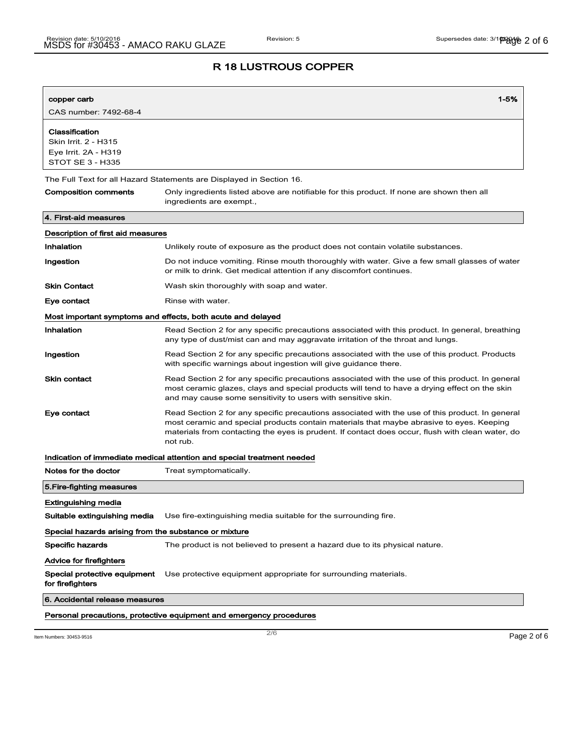| copper carb                                                                               | $1 - 5%$                                                                                                                                                                                                                                                                                                    |  |  |
|-------------------------------------------------------------------------------------------|-------------------------------------------------------------------------------------------------------------------------------------------------------------------------------------------------------------------------------------------------------------------------------------------------------------|--|--|
| CAS number: 7492-68-4                                                                     |                                                                                                                                                                                                                                                                                                             |  |  |
| Classification<br>Skin Irrit. 2 - H315<br>Eye Irrit. 2A - H319<br><b>STOT SE 3 - H335</b> |                                                                                                                                                                                                                                                                                                             |  |  |
| The Full Text for all Hazard Statements are Displayed in Section 16.                      |                                                                                                                                                                                                                                                                                                             |  |  |
| <b>Composition comments</b>                                                               | Only ingredients listed above are notifiable for this product. If none are shown then all<br>ingredients are exempt.,                                                                                                                                                                                       |  |  |
| 4. First-aid measures                                                                     |                                                                                                                                                                                                                                                                                                             |  |  |
| Description of first aid measures                                                         |                                                                                                                                                                                                                                                                                                             |  |  |
| Inhalation                                                                                | Unlikely route of exposure as the product does not contain volatile substances.                                                                                                                                                                                                                             |  |  |
| Ingestion                                                                                 | Do not induce vomiting. Rinse mouth thoroughly with water. Give a few small glasses of water<br>or milk to drink. Get medical attention if any discomfort continues.                                                                                                                                        |  |  |
| <b>Skin Contact</b>                                                                       | Wash skin thoroughly with soap and water.                                                                                                                                                                                                                                                                   |  |  |
| Eye contact                                                                               | Rinse with water.                                                                                                                                                                                                                                                                                           |  |  |
|                                                                                           | Most important symptoms and effects, both acute and delayed                                                                                                                                                                                                                                                 |  |  |
| Inhalation                                                                                | Read Section 2 for any specific precautions associated with this product. In general, breathing<br>any type of dust/mist can and may aggravate irritation of the throat and lungs.                                                                                                                          |  |  |
| Ingestion                                                                                 | Read Section 2 for any specific precautions associated with the use of this product. Products<br>with specific warnings about ingestion will give guidance there.                                                                                                                                           |  |  |
| <b>Skin contact</b>                                                                       | Read Section 2 for any specific precautions associated with the use of this product. In general<br>most ceramic glazes, clays and special products will tend to have a drying effect on the skin<br>and may cause some sensitivity to users with sensitive skin.                                            |  |  |
| Eye contact                                                                               | Read Section 2 for any specific precautions associated with the use of this product. In general<br>most ceramic and special products contain materials that maybe abrasive to eyes. Keeping<br>materials from contacting the eyes is prudent. If contact does occur, flush with clean water, do<br>not rub. |  |  |
|                                                                                           | Indication of immediate medical attention and special treatment needed                                                                                                                                                                                                                                      |  |  |
| Notes for the doctor                                                                      | Treat symptomatically.                                                                                                                                                                                                                                                                                      |  |  |
| 5. Fire-fighting measures                                                                 |                                                                                                                                                                                                                                                                                                             |  |  |
| Extinguishing media                                                                       |                                                                                                                                                                                                                                                                                                             |  |  |
| Suitable extinguishing media                                                              | Use fire-extinguishing media suitable for the surrounding fire.                                                                                                                                                                                                                                             |  |  |
| Special hazards arising from the substance or mixture                                     |                                                                                                                                                                                                                                                                                                             |  |  |
| <b>Specific hazards</b>                                                                   | The product is not believed to present a hazard due to its physical nature.                                                                                                                                                                                                                                 |  |  |
| Advice for firefighters                                                                   |                                                                                                                                                                                                                                                                                                             |  |  |
| Special protective equipment<br>for firefighters                                          | Use protective equipment appropriate for surrounding materials.                                                                                                                                                                                                                                             |  |  |
| 6. Accidental release measures                                                            |                                                                                                                                                                                                                                                                                                             |  |  |
|                                                                                           | Personal precautions, protective equipment and emergency procedures                                                                                                                                                                                                                                         |  |  |

Item Numbers: 30453-9516 **Page 2 of 6**  $\overline{2/6}$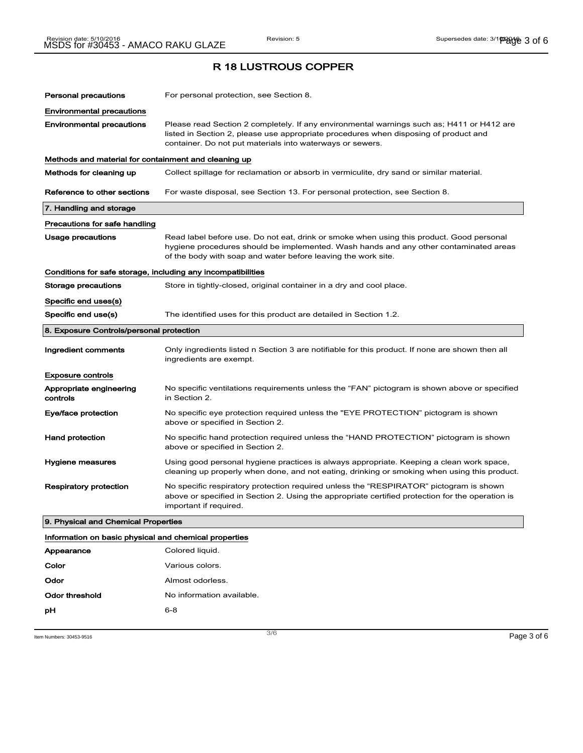# Personal precautions For personal protection, see Section 8. Environmental precautions Environmental precautions Please read Section 2 completely. If any environmental warnings such as; H411 or H412 are listed in Section 2, please use appropriate procedures when disposing of product and container. Do not put materials into waterways or sewers. Methods and material for containment and cleaning up Methods for cleaning up Collect spillage for reclamation or absorb in vermiculite, dry sand or similar material. Reference to other sections For waste disposal, see Section 13. For personal protection, see Section 8. 7. Handling and storage Precautions for safe handling Usage precautions **Read label before use. Do not eat, drink or smoke when using this product. Good personal** hygiene procedures should be implemented. Wash hands and any other contaminated areas of the body with soap and water before leaving the work site. Conditions for safe storage, including any incompatibilities Storage precautions Store in tightly-closed, original container in a dry and cool place. Specific end uses(s) Specific end use(s) The identified uses for this product are detailed in Section 1.2. 8. Exposure Controls/personal protection Ingredient comments Only ingredients listed n Section 3 are notifiable for this product. If none are shown then all ingredients are exempt. Exposure controls Appropriate engineering controls No specific ventilations requirements unless the "FAN" pictogram is shown above or specified in Section 2. Eye/face protection Mo specific eye protection required unless the "EYE PROTECTION" pictogram is shown above or specified in Section 2. Hand protection No specific hand protection required unless the "HAND PROTECTION" pictogram is shown above or specified in Section 2. Hygiene measures Using good personal hygiene practices is always appropriate. Keeping a clean work space, cleaning up properly when done, and not eating, drinking or smoking when using this product. Respiratory protection No specific respiratory protection required unless the "RESPIRATOR" pictogram is shown above or specified in Section 2. Using the appropriate certified protection for the operation is important if required. 9. Physical and Chemical Properties Information on basic physical and chemical properties

| Appearance     | Colored liquid.           |
|----------------|---------------------------|
| Color          | Various colors.           |
| Odor           | Almost odorless.          |
| Odor threshold | No information available. |
| рH             | 6-8                       |
|                |                           |

 $\blacksquare$ Item Numbers: 30453-9516  $\blacksquare$   $\blacksquare$   $\blacksquare$   $\blacksquare$   $\blacksquare$   $\blacksquare$   $\blacksquare$   $\blacksquare$   $\blacksquare$   $\blacksquare$   $\blacksquare$   $\blacksquare$   $\blacksquare$   $\blacksquare$   $\blacksquare$   $\blacksquare$   $\blacksquare$   $\blacksquare$   $\blacksquare$   $\blacksquare$   $\blacksquare$   $\blacksquare$   $\blacksquare$   $\blacksquare$   $\blacksquare$   $\blacksquare$   $\blacksquare$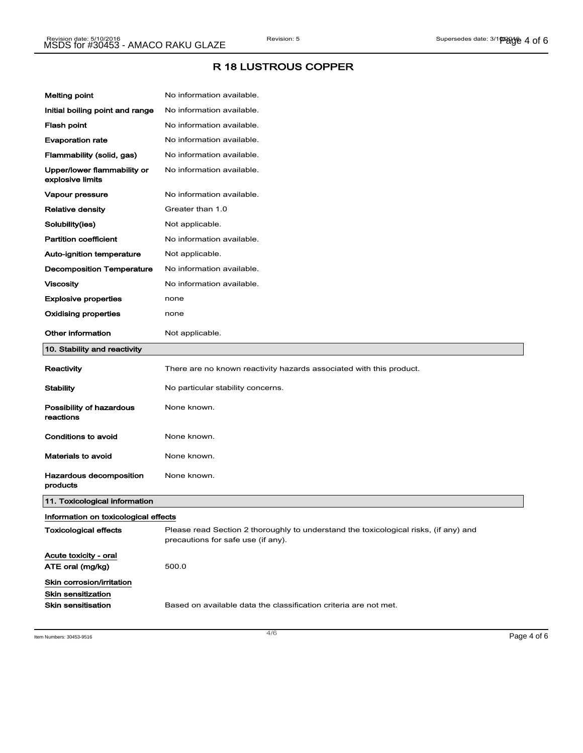| <b>Melting point</b>                            | No information available.                                                                                                  |
|-------------------------------------------------|----------------------------------------------------------------------------------------------------------------------------|
| Initial boiling point and range                 | No information available.                                                                                                  |
| Flash point                                     | No information available.                                                                                                  |
| <b>Evaporation rate</b>                         | No information available.                                                                                                  |
| Flammability (solid, gas)                       | No information available.                                                                                                  |
| Upper/lower flammability or<br>explosive limits | No information available.                                                                                                  |
| Vapour pressure                                 | No information available.                                                                                                  |
| <b>Relative density</b>                         | Greater than 1.0                                                                                                           |
| Solubility(ies)                                 | Not applicable.                                                                                                            |
| <b>Partition coefficient</b>                    | No information available.                                                                                                  |
| Auto-ignition temperature                       | Not applicable.                                                                                                            |
| <b>Decomposition Temperature</b>                | No information available.                                                                                                  |
| <b>Viscosity</b>                                | No information available.                                                                                                  |
| <b>Explosive properties</b>                     | none                                                                                                                       |
| <b>Oxidising properties</b>                     | none                                                                                                                       |
| <b>Other information</b>                        | Not applicable.                                                                                                            |
| 10. Stability and reactivity                    |                                                                                                                            |
| Reactivity                                      | There are no known reactivity hazards associated with this product.                                                        |
| Stability                                       | No particular stability concerns.                                                                                          |
| Possibility of hazardous<br>reactions           | None known.                                                                                                                |
| Conditions to avoid                             | None known.                                                                                                                |
| <b>Materials to avoid</b>                       | None known.                                                                                                                |
| Hazardous decomposition<br>products             | None known.                                                                                                                |
| 11. Toxicological information                   |                                                                                                                            |
| Information on toxicological effects            |                                                                                                                            |
| Toxicological effects                           | Please read Section 2 thoroughly to understand the toxicological risks, (if any) and<br>precautions for safe use (if any). |
| Acute toxicity - oral<br>ATE oral (mg/kg)       | 500.0                                                                                                                      |
| Skin corrosion/irritation<br>Skin sensitization |                                                                                                                            |

Item Numbers: 30453-9516 **Page 4 of 6**  $\overline{a}$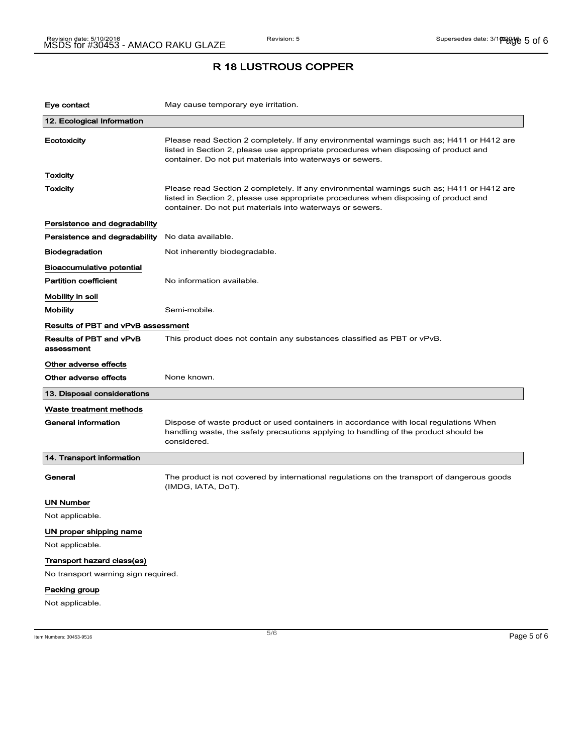| Eye contact                                  | May cause temporary eye irritation.                                                                                                                                                                                                            |  |
|----------------------------------------------|------------------------------------------------------------------------------------------------------------------------------------------------------------------------------------------------------------------------------------------------|--|
| 12. Ecological Information                   |                                                                                                                                                                                                                                                |  |
| Ecotoxicity                                  | Please read Section 2 completely. If any environmental warnings such as; H411 or H412 are<br>listed in Section 2, please use appropriate procedures when disposing of product and<br>container. Do not put materials into waterways or sewers. |  |
| Toxicity                                     |                                                                                                                                                                                                                                                |  |
| Toxicity                                     | Please read Section 2 completely. If any environmental warnings such as; H411 or H412 are<br>listed in Section 2, please use appropriate procedures when disposing of product and<br>container. Do not put materials into waterways or sewers. |  |
| Persistence and degradability                |                                                                                                                                                                                                                                                |  |
| Persistence and degradability                | No data available.                                                                                                                                                                                                                             |  |
| <b>Biodegradation</b>                        | Not inherently biodegradable.                                                                                                                                                                                                                  |  |
| Bioaccumulative potential                    |                                                                                                                                                                                                                                                |  |
| <b>Partition coefficient</b>                 | No information available.                                                                                                                                                                                                                      |  |
| Mobility in soil                             |                                                                                                                                                                                                                                                |  |
| <b>Mobility</b>                              | Semi-mobile.                                                                                                                                                                                                                                   |  |
| Results of PBT and vPvB assessment           |                                                                                                                                                                                                                                                |  |
| <b>Results of PBT and vPvB</b><br>assessment | This product does not contain any substances classified as PBT or vPvB.                                                                                                                                                                        |  |
| Other adverse effects                        |                                                                                                                                                                                                                                                |  |
| Other adverse effects                        | None known.                                                                                                                                                                                                                                    |  |
| 13. Disposal considerations                  |                                                                                                                                                                                                                                                |  |
| Waste treatment methods                      |                                                                                                                                                                                                                                                |  |
| <b>General information</b>                   | Dispose of waste product or used containers in accordance with local regulations When<br>handling waste, the safety precautions applying to handling of the product should be<br>considered.                                                   |  |
| 14. Transport information                    |                                                                                                                                                                                                                                                |  |
| General                                      | The product is not covered by international regulations on the transport of dangerous goods<br>(IMDG, IATA, DoT).                                                                                                                              |  |
| UN Number                                    |                                                                                                                                                                                                                                                |  |
| Not applicable.                              |                                                                                                                                                                                                                                                |  |
| UN proper shipping name                      |                                                                                                                                                                                                                                                |  |
| Not applicable.                              |                                                                                                                                                                                                                                                |  |
| Transport hazard class(es)                   |                                                                                                                                                                                                                                                |  |
| No transport warning sign required.          |                                                                                                                                                                                                                                                |  |
| Packing group                                |                                                                                                                                                                                                                                                |  |
| Not applicable.                              |                                                                                                                                                                                                                                                |  |